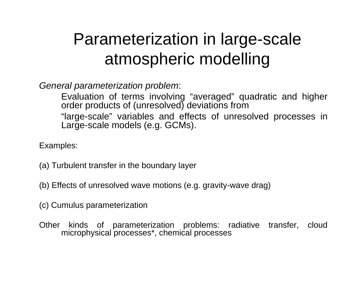# Parameterization in large-scale atmospheric modelling

*General parameterization problem*:

Evaluation of terms involving "averaged" quadratic and higher order products of (unresolved) deviations from "large-scale" variables and effects of unresolved processes in Large-scale models (e.g. GCMs).

Examples:

- (a) Turbulent transfer in the boundary layer
- (b) Effects of unresolved wave motions (e.g. gravity-wave drag)
- (c) Cumulus parameterization
- Other kinds of parameterization problems: radiative transfer, cloud microphysical processes\*, chemical processes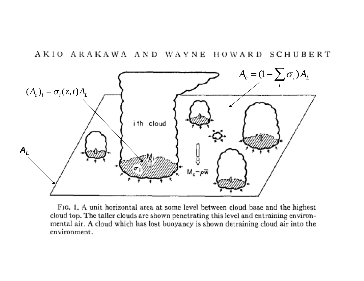

FIG. 1. A unit horizontal area at some level between cloud base and the highest cloud top. The taller clouds are shown penetrating this level and entraining environmental air. A cloud which has lost buoyancy is shown detraining cloud air into the environment.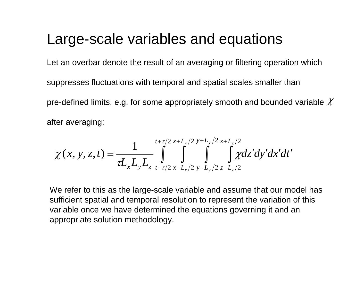# Large-scale variables and equations

Let an overbar denote the result of an averaging or filtering operation which suppresses fluctuations with temporal and spatial scales smaller than pre-defined limits. e.g. for some appropriately smooth and bounded variable  $\mathcal X$ after averaging:

$$
\overline{\chi}(x, y, z, t) = \frac{1}{\tau L_x L_y L_z} \int_{t-\tau/2}^{t+\tau/2} \int_{x-L_x/2}^{x+L_y/2} \int_{y-L_y/2}^{y+L_y/2} \int_{z-L_z/2}^{z+L_z/2} \chi dz' dy' dx' dt'
$$

We refer to this as the large-scale variable and assume that our model has sufficient spatial and temporal resolution to represent the variation of this variable once we have determined the equations governing it and an appropriate solution methodology.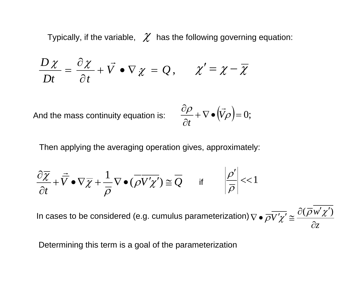Typically, if the variable,  $\,\mathscr{X}\,$  has the following governing equation:

$$
\frac{D\chi}{Dt} = \frac{\partial \chi}{\partial t} + \vec{V} \cdot \nabla \chi = Q, \qquad \chi' = \chi - \overline{\chi}
$$

And the mass continuity equation is:

$$
\frac{\partial \rho}{\partial t} + \nabla \bullet (\vec{V}\rho) = 0;
$$

Then applying the averaging operation gives, approximately:

$$
\frac{\partial \overline{\chi}}{\partial t} + \overline{\overline{V}} \bullet \nabla \overline{\chi} + \frac{1}{\overline{\rho}} \nabla \bullet (\overline{\rho V' \chi'}) \cong \overline{Q} \qquad \text{if} \qquad \left| \frac{\rho'}{\overline{\rho}} \right| < 1
$$

*z w* $\delta V' \chi' \cong \frac{\delta V \chi}{\delta}$ In cases to be considered (e.g. cumulus parameterization)  $\nabla \bullet \overline{\rho V' \chi'} \cong \frac{\partial(\overline{\rho} w' \chi')}{\partial \overline{\rho}}$ 

Determining this term is a goal of the parameterization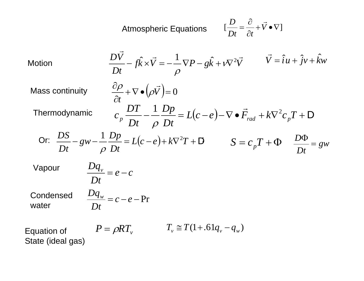Atmospheric Equations

\n
$$
[\frac{D}{Dt} = \frac{\partial}{\partial t} + \vec{V} \cdot \nabla]
$$
\nMotion

\n
$$
\frac{D\vec{V}}{Dt} - f\hat{k} \times \vec{V} = -\frac{1}{\rho} \nabla P - g\hat{k} + v\nabla^{2}\vec{V} \qquad \vec{V} = \hat{i}u + \hat{j}v + \hat{k}w
$$
\nMass continuity

\n
$$
\frac{\partial \rho}{\partial t} + \nabla \cdot (\rho \vec{V}) = 0
$$
\nThermodynamic

\n
$$
c_{p} \frac{DT}{Dt} - \frac{1}{\rho} \frac{Dp}{Dt} = L(c - e) - \nabla \cdot \vec{F}_{rad} + k\nabla^{2}c_{p}T + D
$$
\nOr:

\n
$$
\frac{DS}{Dt} - gw - \frac{1}{\rho} \frac{Dp}{Dt} = L(c - e) + k\nabla^{2}T + D \qquad S = c_{p}T + \Phi \qquad \frac{D\Phi}{Dt} = gw
$$
\nVapour

\n
$$
\frac{Dq_{v}}{Dt} = e - c
$$
\nCondensed

\n
$$
\frac{Dq_{w}}{Dt} = c - e - Pr
$$
\nEquation of

\n
$$
P = \rho RT_{v} \qquad T_{v} \cong T(1 + .61q_{v} - q_{w})
$$
\nState (ideal gas)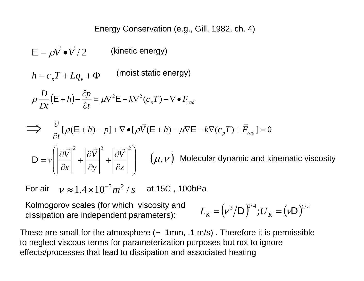### Energy Conservation (e.g., Gill, 1982, ch. 4)

$$
\mathsf{E} = \rho \vec{V} \bullet \vec{V} / 2
$$
 (kinetic energy)

 $h = c_p T + Lq_v + \Phi$  (moist static energy)

$$
\rho \frac{D}{Dt} (\mathsf{E} + h) - \frac{\partial p}{\partial t} = \mu \nabla^2 \mathsf{E} + k \nabla^2 (c_p T) - \nabla \bullet F_{rad}
$$

$$
\implies \frac{\partial}{\partial t} [\rho(E+h) - p] + \nabla \bullet [\rho \vec{V}(E+h) - \mu \nabla E - k \nabla (c_p T) + \vec{F}_{rad}] = 0
$$
  

$$
D = \nu \left( \left| \frac{\partial \vec{V}}{\partial x} \right|^2 + \left| \frac{\partial \vec{V}}{\partial y} \right|^2 + \left| \frac{\partial \vec{V}}{\partial z} \right|^2 \right) \quad (\mu, \nu) \text{ Molecular dynamic and kinematic viscosity}
$$

For air  $\quad \nu \approx 1.4\! \times \! 10^{-5} m^2$  /  $_{S}$   $\quad$  at 15C , 100hPa

Kolmogorov scales (for which viscosity and dissipation are independent parameters):

$$
L_K = (\nu^3 / D)^{1/4}; U_K = (\nu D)^{1/4}
$$

These are small for the atmosphere  $\left(\sim 1$  mm, .1 m/s). Therefore it is permissible to neglect viscous terms for parameterization purposes but not to ignore effects/processes that lead to dissipation and associated heating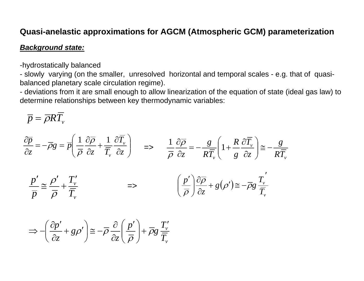### **Quasi-anelastic approximations for AGCM (Atmospheric GCM) parameterization**

#### *Background state:*

-hydrostatically balanced

- slowly varying (on the smaller, unresolved horizontal and temporal scales - e.g. that of quasibalanced planetary scale circulation regime).

- deviations from it are small enough to allow linearization of the equation of state (ideal gas law) to determine relationships between key thermodynamic variables:

$$
\overline{p}=\overline{\rho}R\overline{T}_{v}
$$

$$
\frac{\partial \overline{p}}{\partial z} = -\overline{\rho}g = \overline{p}\left(\frac{1}{\overline{\rho}}\frac{\partial \overline{\rho}}{\partial z} + \frac{1}{\overline{T}_{v}}\frac{\partial \overline{T}_{v}}{\partial z}\right) \Rightarrow \frac{1}{\overline{\rho}}\frac{\partial \overline{\rho}}{\partial z} = -\frac{g}{R\overline{T}_{v}}\left(1 + \frac{R}{g}\frac{\partial \overline{T}_{v}}{\partial z}\right) \cong -\frac{g}{R\overline{T}_{v}}
$$

$$
\frac{p'}{\overline{p}} \cong \frac{\rho'}{\overline{\rho}} + \frac{T'_{v}}{\overline{T}_{v}}
$$

$$
\implies \left(\frac{p'}{\overline{\rho}}\right)\frac{\partial \overline{\rho}}{\partial z} + g(\rho') \cong -\overline{\rho}g\frac{T'_{v}}{\overline{T}_{v}}
$$

$$
\Rightarrow -\left(\frac{\partial p'}{\partial z} + g \rho'\right) \cong -\overline{\rho} \frac{\partial}{\partial z} \left(\frac{p'}{\overline{\rho}}\right) + \overline{\rho} g \frac{T_v'}{\overline{T}_v}
$$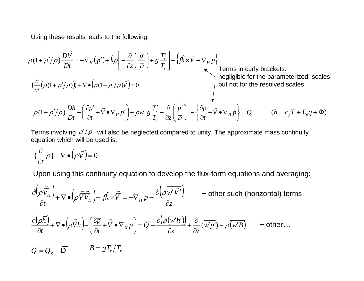Using these results leads to the following:

$$
\overline{\rho}(1+\rho'/\overline{\rho})\frac{D\overline{V}}{Dt} = -\nabla_{H}(p') + \hat{k}\overline{\rho}\left[-\frac{\partial}{\partial z}\left(\frac{p'}{\overline{\rho}}\right) + g\frac{T'_{v}}{\overline{T_{v}}}\right] - \left\{\hat{k} \times \overline{V} + \nabla_{H}\overline{p}\right\}
$$
\nTerms in curly brackets:

\n
$$
\{\frac{\partial}{\partial t}(\overline{\rho}(1+\rho'/\overline{\rho}))\} + \nabla \bullet \left(\frac{\partial}{\partial (1+\rho'/\overline{\rho})}\overline{V}\right) = 0
$$
\nbut not for the resolved scales

\n
$$
\overline{\rho}(1+\rho'/\overline{\rho})\frac{Dh}{Dt} - \left(\frac{\partial p'}{\partial t} + \overline{V} \bullet \nabla_{H}p'\right) + \overline{\rho}w\left[g\frac{T'_{v}}{\overline{T_{v}}} - \frac{\partial}{\partial z}\left(\frac{p'}{\overline{\rho}}\right)\right] - \left\{\frac{\partial \overline{p}}{\partial t} + \overline{V} \bullet \nabla_{H}\overline{p}\right\} = Q \qquad (h = c_{p}T + L_{v}q + \Phi)
$$

Terms involving  $\rho'/\overline{\rho} \;$  will also be neglected compared to unity. The approximate mass continuity equation which will be used is:

$$
\{\frac{\partial}{\partial t}\overline{\rho}\} + \nabla \bullet (\overline{\rho}\overrightarrow{V}) = 0
$$

Upon using this continuity equation to develop the flux-form equations and averaging:

$$
\frac{\partial \left(\overrightarrow{\rho} \overrightarrow{\overrightarrow{V}}_H\right)}{\partial t} + \nabla \bullet \left(\overrightarrow{\rho} \overrightarrow{\overrightarrow{V}}_H\right) + f\hat{k} \times \overrightarrow{\overrightarrow{V}} = -\nabla_H \overrightarrow{p} - \frac{\partial \left(\overrightarrow{\overrightarrow{p}w'\overrightarrow{V'}}\right)}{\partial z} + \text{other such (horizontal) terms}
$$
\n
$$
\frac{\partial \left(\overrightarrow{\overrightarrow{\rho}}_H\right)}{\partial t} + \nabla \bullet \left(\overrightarrow{\overrightarrow{\rho} \overrightarrow{V}}_H\right) - \left(\frac{\partial \overrightarrow{p}}{\partial t} + \overrightarrow{\overrightarrow{V}}_H \overrightarrow{p}\right) = \overrightarrow{Q} - \frac{\partial \left(\overrightarrow{\overrightarrow{\rho}} \left(\overrightarrow{w'h'\right)}\right)}{\partial z} + \frac{\partial}{\partial z} \left(\overrightarrow{w'p'}\right) - \overrightarrow{\overrightarrow{\rho}} \left(\overrightarrow{w'B}\right) + \text{other}...
$$
\n
$$
\overrightarrow{Q} = \overrightarrow{Q}_R + \overrightarrow{D} \qquad B = gT_v'/\overrightarrow{T}_v
$$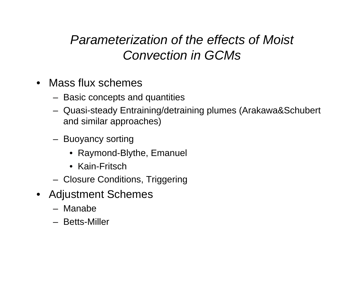# *Parameterization of the effects of Moist Convection in GCMs*

- Mass flux schemes
	- Basic concepts and quantities
	- Quasi-steady Entraining/detraining plumes (Arakawa&Schubert and similar approaches)
	- Buoyancy sorting
		- Raymond-Blythe, Emanuel
		- Kain-Fritsch
	- Closure Conditions, Triggering
- Adjustment Schemes
	- Manabe
	- Betts-Miller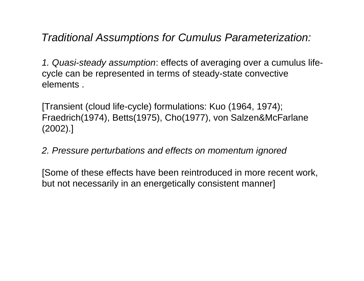*Traditional Assumptions for Cumulus Parameterization:*

*1. Quasi-steady assumption*: effects of averaging over a cumulus lifecycle can be represented in terms of steady-state convective elements .

[Transient (cloud life-cycle) formulations: Kuo (1964, 1974); Fraedrich(1974), Betts(1975), Cho(1977), von Salzen&McFarlane (2002).]

*2. Pressure perturbations and effects on momentum ignored*

[Some of these effects have been reintroduced in more recent work, but not necessarily in an energetically consistent manner]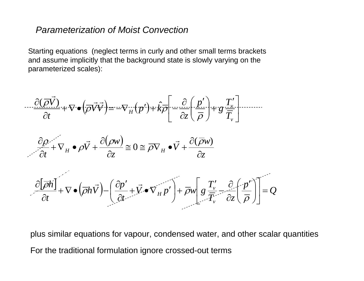### *Parameterization of Moist Convection*

Starting equations (neglect terms in curly and other small terms brackets and assume implicitly that the background state is slowly varying on the parameterized scales):

$$
\frac{\partial(\overrightarrow{\rho V})}{\partial t} + \nabla \cdot (\overrightarrow{\rho V} \overrightarrow{V}) = -\nabla_H (p') + k \overrightarrow{\rho} \left[ -\frac{\partial}{\partial z} \left( \frac{p'}{\overrightarrow{\rho}} \right) + g \frac{T'_v}{\overrightarrow{T}_v} \right] \cdots
$$

$$
\frac{\partial \rho}{\partial t} + \nabla_H \bullet \rho \vec{V} + \frac{\partial(\rho w)}{\partial z} \cong 0 \cong \overline{\rho V}_H \bullet \vec{V} + \frac{\partial(\overline{\rho}w)}{\partial z}
$$

$$
\frac{\partial[\overline{\rho}\hbar]}{\partial t} + \nabla \bullet (\overline{\rho}\hbar\vec{V}) - \left(\frac{\partial p'}{\partial t} + \vec{V} \bullet \nabla_H p'\right) + \overline{\rho}\mathbf{w}\left[g\frac{T_v'}{\overline{T}_v} - \frac{\partial}{\partial z}\left(\frac{p'}{\overline{\rho}}\right)\right] = Q
$$

plus similar equations for vapour, condensed water, and other scalar quantities For the traditional formulation ignore crossed-out terms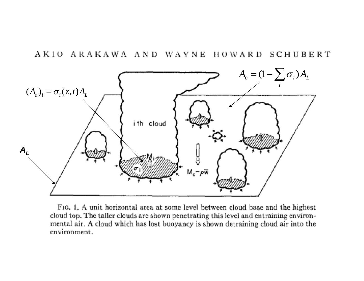

FIG. 1. A unit horizontal area at some level between cloud base and the highest cloud top. The taller clouds are shown penetrating this level and entraining environmental air. A cloud which has lost buoyancy is shown detraining cloud air into the environment.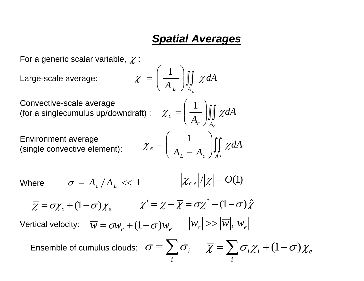## *Spatial Averages*

For a generic scalar variable,  $\chi$ :

Large-scale average:  $\overline{\chi}$ 

$$
\overline{\zeta} = \left(\frac{1}{A_L}\right) \iint_{A_L} \chi \, dA
$$

Convective-scale average (for a singlecumulus up/downdraft)

Environment average (single convective element): ⎟∫∫ ⎟⎠⎞ ⎜⎜⎝⎛ <sup>−</sup> <sup>=</sup> *cL Ae <sup>e</sup> dA AA* <sup>χ</sup> <sup>χ</sup> <sup>1</sup>

$$
\chi_c = \left(\frac{1}{A_c}\right) \iint_{A_c} \chi dA
$$

$$
\chi_e = \left(\frac{1}{A_L - A_c}\right) \iint_{A_e} \chi dA
$$

Where  $\sigma = A_c / A_L << 1$ 

$$
\chi_{c,e}\big|/\big|\overline{\chi}\big|=O(1)
$$

$$
\overline{\chi} = \sigma \chi_c + (1 - \sigma) \chi_e \qquad \qquad \chi' = \chi - \overline{\chi} = \sigma \chi^* + (1 - \sigma) \hat{\chi}
$$

 ${\sf Vertical\ velocity:}\quad \overline{w}=\sigma w_{_{\!C}}+(1\!-\!\sigma)w_{_{\!e}}\qquad |w_{_{\!C}}| \!>\!> |w|,|w_{_{\!R}}|$ 

Ensemble of cumulus clouds: $\sigma = \sum$ *i* $\sigma = \sum_i \sigma_i$   $\chi = \sum_i \sigma_i \chi_i + (1 - \sigma) \chi_i$  $\overline{\chi} = \sum \sigma_i \chi_i + (1-\sigma)\chi_i$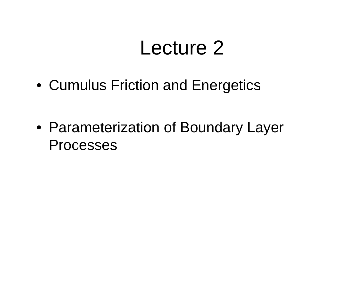# Lecture 2

• Cumulus Friction and Energetics

• Parameterization of Boundary Layer Processes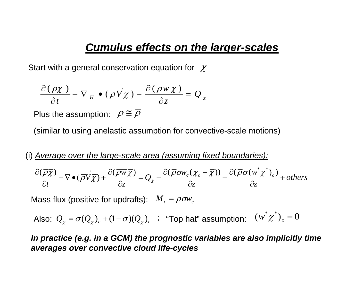## *Cumulus effects on the larger-scales*

Start with a general conservation equation for  $\,\,\chi$ 

$$
\frac{\partial(\rho \chi)}{\partial t} + \nabla_H \bullet (\rho \vec{V} \chi) + \frac{\partial(\rho w \chi)}{\partial z} = Q_x
$$

Plus the assumption:  $\rho \cong \rho$ 

(similar to using anelastic assumption for convective-scale motions)

(i) *Average over the large-scale area (assuming fixed boundaries):*

$$
\frac{\partial(\overline{\rho}\overline{\chi})}{\partial t} + \nabla \bullet (\overline{\rho}\overline{\overline{V}}\overline{\chi}) + \frac{\partial(\overline{\rho}\overline{w}\overline{\chi})}{\partial z} = \overline{Q}_{\chi} - \frac{\partial(\overline{\rho}\sigma w_c(\chi_c - \overline{\chi}))}{\partial z} - \frac{\partial(\overline{\rho}\sigma(w^*\chi^*))}{\partial z} + others
$$

Mass flux (positive for updrafts):  $\boldsymbol{M}_c = \overline{\rho}\boldsymbol{\sigma}\boldsymbol{w}_c$ 

Also: 
$$
\overline{Q}_{\chi} = \sigma(Q_{\chi})_c + (1 - \sigma)(Q_{\chi})_e
$$
; "Top hat" assumption:  $(w^*\chi^*)_c = 0$ 

*In practice (e.g. in a GCM) the prognostic variables are also implicitly time averages over convective cloud life-cycles*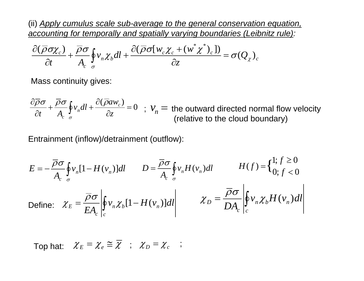(ii) *Apply cumulus scale sub-average to the general conservation equation, accounting for temporally and spatially varying boundaries (Leibnitz rule):*

$$
\frac{\partial(\overline{\rho}\sigma\chi_c)}{\partial t} + \frac{\overline{\rho}\sigma}{A_c} \oint_{\sigma} v_n \chi_b dl + \frac{\partial(\overline{\rho}\sigma[w_c \chi_c + (w^*\chi^*)_c)}{\partial z} = \sigma(Q_{\chi})_c
$$

Mass continuity gives:

 $\frac{(\overline{\rho}aw_c)}{\partial z} = 0$  $+\frac{\overline{\rho}\sigma}{\sqrt{\rho}}\oint_V dl + \frac{\partial}{\partial}$ ∂  $\frac{\partial \overline{\rho}\sigma}{\partial t} + \frac{\overline{\rho}\sigma}{A_c} \oint_{\sigma} v_n dl + \frac{\partial (\overline{\rho}aw_c)}{\partial z}$  $\oint_{\sigma} v_n dl + \frac{\partial^2 u}{\partial z^2} = 0$  ;  $v_n =$  the outward directed normal flow velocity<br>(relative to the cloud boundary)

Entrainment (inflow)/detrainment (outflow):

$$
E = -\frac{\overline{\rho}\sigma}{A_c} \oint_{\sigma} v_n [1 - H(v_n)] dl \qquad D = \frac{\overline{\rho}\sigma}{A_c} \oint_{\sigma} v_n H(v_n) dl \qquad H(f) = \begin{cases} 1; f \ge 0 \\ 0; f < 0 \end{cases}
$$
  
Define:  $\chi_E = \frac{\overline{\rho}\sigma}{EA_c} \oint_{c} v_n \chi_b [1 - H(v_n)] dl \qquad \qquad \chi_D = \frac{\overline{\rho}\sigma}{DA_c} \oint_{c} v_n \chi_b H(v_n) dl$ 

Top hat:  $\chi_E = \chi_e \cong \overline{\chi}$ ;  $\chi_D = \chi_c$ ;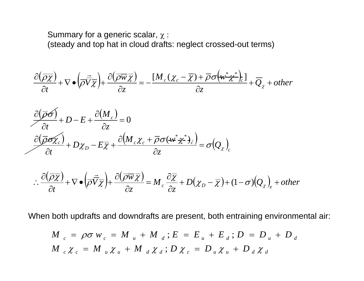Summary for a generic scalar,  $\chi$  : (steady and top hat in cloud drafts: neglect crossed-out terms)

$$
\frac{\partial(\overline{\rho}\overline{\chi})}{\partial t} + \nabla \bullet \left(\frac{\partial}{\partial \overline{V}} \overline{\chi}\right) + \frac{\partial(\overline{\rho}\overline{w}\overline{\chi})}{\partial z} = -\frac{[M_c(\chi_c - \overline{\chi}) + \overline{\rho}\sigma(w^* \chi^*)_c]}{\partial z} + \overline{Q}_{\chi} + other
$$

$$
\frac{\partial(\overline{\rho}\overline{\sigma})}{\partial t} + D - E + \frac{\partial(M_c)}{\partial z} = 0
$$

$$
\frac{\partial(\overline{\rho}\sigma\chi_c)}{\partial t} + D\chi_D - E\overline{\chi} + \frac{\partial(M_c\chi_c + \overline{\rho}\sigma(\overline{w}^* \chi^*)_c)}{\partial z} = \sigma(Q_{\chi})_c
$$

$$
\therefore \frac{\partial(\overline{\rho}\overline{\chi})}{\partial t} + \nabla \bullet (\overline{\rho}\overline{\nabla}\overline{\chi}) + \frac{\partial(\overline{\rho}\overline{\omega}\overline{\chi})}{\partial z} = M_c \frac{\partial \overline{\chi}}{\partial z} + D(\chi_D - \overline{\chi}) + (1 - \sigma)(Q_{\chi})_e + other
$$

When both updrafts and downdrafts are present, both entraining environmental air:

$$
M_{c} = \rho \sigma w_{c} = M_{u} + M_{d} ; E = E_{u} + E_{d} ; D = D_{u} + D_{d}
$$
  

$$
M_{c} \chi_{c} = M_{u} \chi_{u} + M_{d} \chi_{d} ; D \chi_{c} = D_{u} \chi_{u} + D_{d} \chi_{d}
$$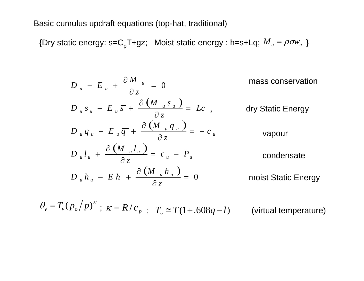Basic cumulus updraft equations (top-hat, traditional)

{Dry static energy: s=C<sub>p</sub>T+gz; Moist static energy : h=s+Lq;  ${M}_{u} = \rho \sigma \! \! \omega_{u}$  }  $\overline{M}_{u}=\overline{\rho}\sigma\!\scriptstyle{W}_{u}$ 

$$
D_{u} - E_{u} + \frac{\partial M_{u}}{\partial z} = 0
$$
 mass conservation  
\n
$$
D_{u} s_{u} - E_{u} \overline{s} + \frac{\partial (M_{u} s_{u})}{\partial z} = Lc_{u}
$$
dry Static Energy  
\n
$$
D_{u} q_{u} - E_{u} \overline{q} + \frac{\partial (M_{u} q_{u})}{\partial z} = -c_{u}
$$
vapour  
\n
$$
D_{u} l_{u} + \frac{\partial (M_{u} l_{u})}{\partial z} = c_{u} - P_{u}
$$
condensate  
\n
$$
D_{u} h_{u} - E \overline{h} + \frac{\partial (M_{u} h_{u})}{\partial z} = 0
$$
moist Static Energy

 $\theta_v = T_v (p_o / p)^{\kappa}$ ;  $\kappa = R / c_p$ ;  $T_v \cong T(1+.608q-l)$  (virtual temperature)  $\mathbf{r}$ ,  $\mathbf{c}_p$ ;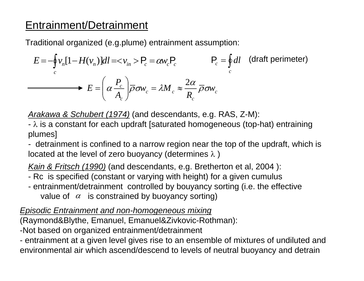## Entrainment/Detrainment

Traditional organized (e.g.plume) entrainment assumption:

$$
E = -\oint_{c} v_{n} [1 - H(v_{n})] dl = \langle v_{in} \rangle P_{c} = \alpha w_{c} P_{c}
$$
  
\n
$$
F_{c} = \oint_{c} dl \quad \text{(draff perimeter)}
$$
  
\n
$$
E = \left(\alpha \frac{P_{c}}{A_{c}}\right) \overline{\rho} \sigma w_{c} = \lambda M_{c} \approx \frac{2\alpha}{R_{c}} \overline{\rho} \sigma w_{c}
$$

*Arakawa & Schubert (1974)* (and descendants, e.g. RAS, Z-M):

-  $\lambda$  is a constant for each updraft [saturated homogeneous (top-hat) entraining plumes]

- detrainment is confined to a narrow region near the top of the updraft, which is located at the level of zero buoyancy (determines  $\lambda$ )

*Kain & Fritsch (1990)* (and descendants, e.g. Bretherton et al, 2004 ):

- Rc is specified (constant or varying with height) for a given cumulus
- entrainment/detrainment controlled by bouyancy sorting (i.e. the effective value of  $\alpha$  is constrained by buoyancy sorting)

*Episodic Entrainment and non-homogeneous mixing*

(Raymond&Blythe, Emanuel, Emanuel&Zivkovic-Rothman):

-Not based on organized entrainment/detrainment

- entrainment at a given level gives rise to an ensemble of mixtures of undiluted and environmental air which ascend/descend to levels of neutral buoyancy and detrain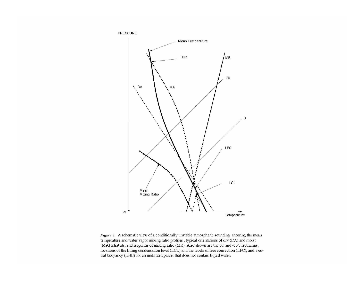

Figure 1. A schematic view of a conditionally unstable atmospheric sounding showing the mean temperature and water vapor mixing ratio profiles , typical orientations of dry (DA) and moist (MA) adiabats, and isopleths of mixing ratio (MR). Also shown are the 0C and -20C isotherms, locations of the lifting condensation level (LCL) and the levels of free convection (LFC), and neutral buoyancy (LNB) for an undiluted parcel that does not contain liquid water.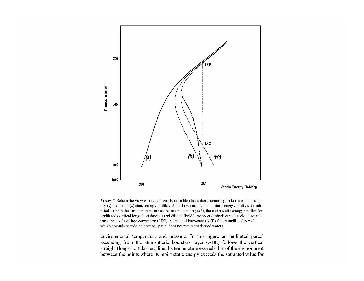

Figure 2. Schematic view of a conditionally unstable atmospheric sounding in terms of the mean  $\text{dry}(s)$  and moist (h) static energy profiles. Also shown are the moist static energy profiles for saturated air with the same temperature as the mean sounding  $(h^*)$ , the moist static energy profiles for undiluted (vertical long-short dashed) and diluted (bold long-short dashed) cumulus cloud soundings, the levels of free convection (LFC) and neutral buoyancy (LNB) for an undiluted parcel which ascends pseudo-adiabatically (i.e. does not retain condensed water).

environmental temperature and pressure. In this figure an undiluted parcel ascending from the atmospheric boundary layer (ABL) follows the vertical straight (long-short dashed) line. Its temperature exceeds that of the environment between the points where its moist static energy exceeds the saturated value for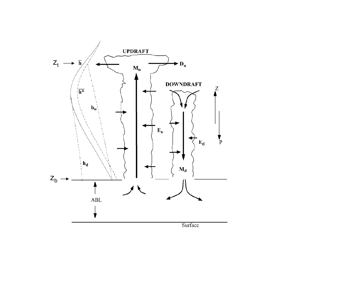

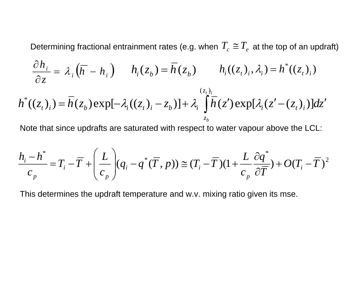Determining fractional entrainment rates (e.g. when  $\, T_c \cong T_e \,$  at the top of an updraft)

$$
\frac{\partial h_i}{\partial z} = \lambda_i \left( \overline{h} - h_i \right) \qquad h_i(z_b) = \overline{h}(z_b) \qquad h_i((z_t)_i, \lambda_i) = h^*((z_t)_i)
$$

$$
h^{*}((z_{t})_{i}) = \overline{h}(z_{b}) \exp[-\lambda_{i}((z_{t})_{i} - z_{b})] + \lambda_{i} \int_{z_{b}}^{(z_{t})_{i}} \overline{h}(z') \exp[\lambda_{i}((z' - (z_{t})_{i}))]dz'
$$

Note that since updrafts are saturated with respect to water vapour above the LCL:

$$
\frac{h_i - h^*}{c_p} = T_i - \overline{T} + \left(\frac{L}{c_p}\right) (q_i - q^*(\overline{T}, p)) \cong (T_i - \overline{T})(1 + \frac{L}{c_p}\frac{\partial q^*}{\partial \overline{T}}) + O(T_i - \overline{T})^2
$$

This determines the updraft temperature and w.v. mixing ratio given its mse.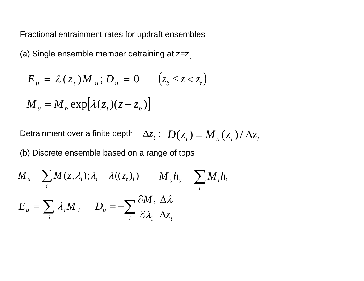Fractional entrainment rates for updraft ensembles

(a) Single ensemble member detraining at  $z=z_t$ 

$$
E_u = \lambda(z_t) M_u; D_u = 0 \qquad (z_b \le z < z_t)
$$

$$
M_{u} = M_{b} \exp[\lambda(z_{t})(z - z_{b})]
$$

Detrainment over a finite depth  $\Delta z_{_t} \colon \ D(z_{_t}) \! = \! M_{_H}(z_{_t}) / \Delta z_{_t}$ 

(b) Discrete ensemble based on a range of tops

$$
M_{u} = \sum_{i} M(z, \lambda_{i}); \lambda_{i} = \lambda((z_{t})_{i}) \qquad M_{u} h_{u} = \sum_{i} M_{i} h_{i}
$$

$$
E_{u} = \sum_{i} \lambda_{i} M_{i} \qquad D_{u} = -\sum_{i} \frac{\partial M_{i}}{\partial \lambda_{i}} \frac{\Delta \lambda}{\Delta z_{t}}
$$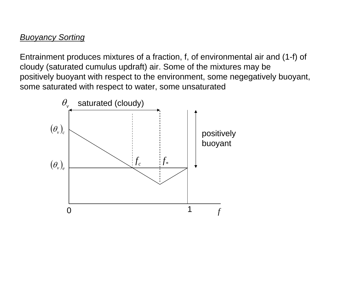### *Buoyancy Sorting*

Entrainment produces mixtures of a fraction, f, of environmental air and (1-f) of cloudy (saturated cumulus updraft) air. Some of the mixtures may be positively buoyant with respect to the environment, some negegatively buoyant, some saturated with respect to water, some unsaturated

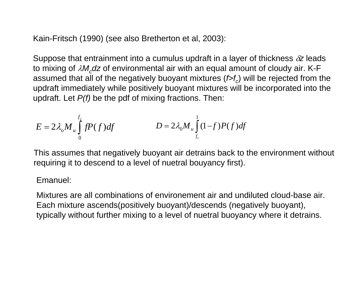Kain-Fritsch (1990) (see also Bretherton et al, 2003):

Suppose that entrainment into a cumulus updraft in a layer of thickness δ*z* leads to mixing of *λM<sub>c</sub>dz* of environmental air with an equal amount of cloudy air. K-F assumed that all of the negatively buoyant mixtures  $(f>f_c)$  will be rejected from the updraft immediately while positively buoyant mixtures will be incorporated into the updraft. Let *P(f)* be the pdf of mixing fractions. Then:

$$
E = 2\lambda_o M_u \int_0^{f_c} fP(f)df
$$
 
$$
D = 2\lambda_o M_u \int_{f_c}^{1} (1-f)P(f)df
$$

This assumes that negatively buoyant air detrains back to the environment without requiring it to descend to a level of nuetral bouyancy first).

#### Emanuel:

Mixtures are all combinations of environement air and undiluted cloud-base air. Each mixture ascends(positively buoyant)/descends (negatively buoyant), typically without further mixing to a level of nuetral buoyancy where it detrains.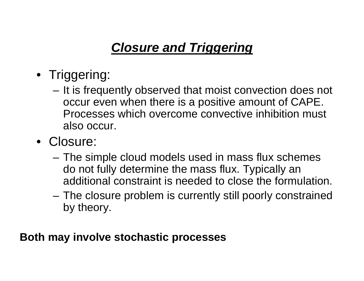# *Closure and Triggering*

- Triggering:
	- It is frequently observed that moist convection does not occur even when there is a positive amount of CAPE. Processes which overcome convective inhibition must also occur.
- Closure:
	- The simple cloud models used in mass flux schemes do not fully determine the mass flux. Typically an additional constraint is needed to close the formulation.
	- The closure problem is currently still poorly constrained by theory.

**Both may involve stochastic processes**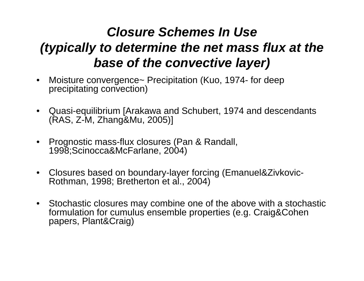# *Closure Schemes In Use (typically to determine the net mass flux at the base of the convective layer)*

- Moisture convergence~ Precipitation (Kuo, 1974- for deep precipitating convection)
- Quasi-equilibrium [Arakawa and Schubert, 1974 and descendants (RAS, Z-M, Zhang&Mu, 2005)]
- Prognostic mass-flux closures (Pan & Randall, 1998;Scinocca&McFarlane, 2004)
- Closures based on boundary-layer forcing (Emanuel&Zivkovic-Rothman, 1998; Bretherton et al., 2004)
- Stochastic closures may combine one of the above with a stochastic formulation for cumulus ensemble properties (e.g. Craig&Cohen papers, Plant&Craig)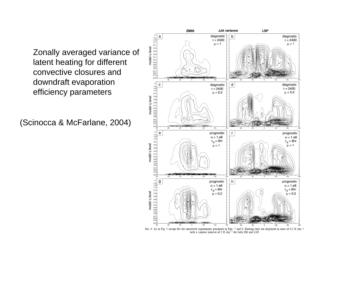Zonally averaged variance of latent heating for different convective closures and downdraft evaporation efficiency parameters

(Scinocca & McFarlane, 2004)



FIG. 9. As in Fig. 5 except for the sensitivity experiments presented in Figs. 7 and 8. Heating rates are displayed in units of 0.1 K day -+ with a contour interval of 2 K day<sup>-1</sup> for both ZM and LSP.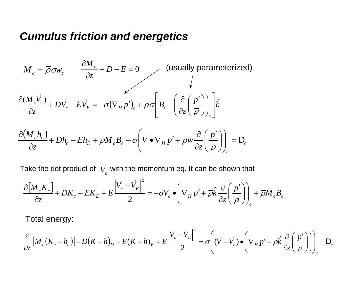## *Cumulus friction and energetics*

$$
M_c = \overline{\rho}\sigma w_c \qquad \frac{\partial M_c}{\partial z} + D - E = 0 \qquad \qquad \text{(usually parameterized)}
$$
\n
$$
\frac{\partial (M_c \vec{V}_c)}{\partial z} + D \vec{V}_c - E \vec{V}_E = -\sigma (\nabla_H p')_c + \overline{\rho} \sigma \left[ B_c - \left( \frac{\partial}{\partial z} \left( \frac{p'}{\overline{\rho}} \right) \right)_c \right] \hat{k}
$$
\n
$$
\frac{\partial (M_c h_c)}{\partial z} + Dh_c - Eh_E + \overline{\rho} M_c B_c - \sigma \left( \vec{V} \bullet \nabla_H p' + \overline{\rho} w \frac{\partial}{\partial z} \left( \frac{p'}{\overline{\rho}} \right) \right)_c = D_c
$$

Take the dot product of  $\; V_{_{C}} \;$  with the momentum eq. It can be shown that —

$$
\frac{\partial [M_c K_c]}{\partial z} + DK_c - E K_E + E \frac{\left| \vec{V_c} - \vec{V_E} \right|^2}{2} = -\sigma V_c \bullet \left( \nabla_H p' + \overline{\rho} \hat{k} \frac{\partial}{\partial z} \left( \frac{p'}{\overline{\rho}} \right) \right)_c + \overline{\rho} M_c B_c
$$

Total energy:

$$
\frac{\partial}{\partial z} \Big[ M_c \big( K_c + h_c \big) \Big] + D \big( K + h \big)_D - E \big( K + h \big)_E + E \frac{\Big| \vec{V}_c - \vec{V}_E \Big|^2}{2} = \sigma \Big( (\vec{V} - \vec{V}_c) \bullet \Big( \nabla_H p' + \overline{\rho} \hat{k} \frac{\partial}{\partial z} \Big( \frac{p'}{\overline{\rho}} \Big) \Big) \Big]_c + \mathsf{D}_c
$$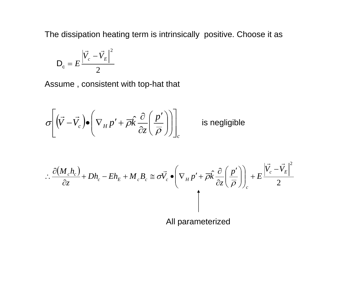The dissipation heating term is intrinsically positive. Choose it as

$$
\mathsf{D}_{\mathrm{c}}=E\frac{\left|\vec{V}_{c}-\vec{V}_{E}\right|^{2}}{2}
$$

Assume , consistent with top-hat that

$$
\sigma \left[ \left( \vec{V} - \vec{V_c} \right) \bullet \left( \nabla_H p' + \overline{\rho} \hat{k} \frac{\partial}{\partial z} \left( \frac{p'}{\overline{\rho}} \right) \right) \right]_c
$$
 is negligible

$$
\therefore \frac{\partial (M_c h_c)}{\partial z} + Dh_c - Eh_E + M_c B_c \cong \sigma \vec{V}_c \bullet \left( \nabla_H p' + \overline{\rho} \hat{k} \frac{\partial}{\partial z} \left( \frac{p'}{\overline{\rho}} \right) \right)_c + E \frac{\left| \vec{V}_c - \vec{V}_E \right|^2}{2}
$$

All parameterized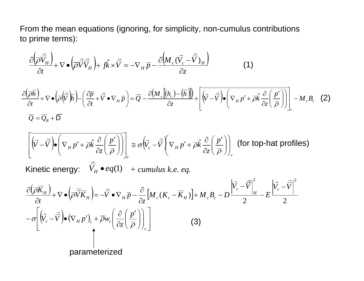From the mean equations (ignoring, for simplicity, non-cumulus contributions to prime terms):

$$
\frac{\partial \left(\overrightarrow{\rho} \overrightarrow{\overrightarrow{V}}_H\right)}{\partial t} + \nabla \bullet \left(\overrightarrow{\overrightarrow{\rho} \overrightarrow{\overrightarrow{V}}_H}\right) + f\hat{k} \times \overrightarrow{\overrightarrow{V}} = -\nabla_H \overrightarrow{p} - \frac{\partial \left(M_c (\overrightarrow{V_c} - \overrightarrow{\overrightarrow{V}})_H\right)}{\partial z}
$$
(1)

$$
\frac{\partial(\overline{\rho}\overline{h})}{\partial t} + \nabla \bullet \left(\overline{\rho}\left(\overline{\overline{V}}\right)\overline{h}\right) - \left(\frac{\partial \overline{p}}{\partial t} + \overline{V} \bullet \nabla_H \overline{p}\right) = \overline{Q} - \frac{\partial \left(M_c\left[(h_c) - (\overline{h})\right]\right)}{\partial z} + \left[\overline{\left(\overline{V} - \overline{V}\right)} \bullet \left(\nabla_H p' + \overline{\rho}\hat{k}\frac{\partial}{\partial z}\left(\frac{p'}{\overline{\rho}}\right)\right)\right]_c - M_c B_c \quad (2)
$$

$$
\left[\overline{\left(\vec{V}-\vec{V}\right)}\bullet\left(\nabla_H p' + \overline{\rho}\hat{k}\frac{\partial}{\partial z}\left(\frac{p'}{\overline{\rho}}\right)\right)\right]_c \cong \sigma\left(\overline{V}_c - \overline{V}\right)\left(\nabla_H p' + \overline{\rho}\hat{k}\frac{\partial}{\partial z}\left(\frac{p'}{\overline{\rho}}\right)\right)_c
$$
 (for top-hat profiles)

Kinetic energy:  $\quad V_{H} \bullet eq(1)$  $\bullet$  eq(1)  $+$  cumulus k.e. eq.

$$
\frac{\partial(\overline{\rho}\overline{K}_{H})}{\partial t} + \nabla \bullet (\overline{\rho}\overline{\overline{V}}\overline{K}_{H}) = -\overline{\overline{V}} \bullet \nabla_{H} \overline{p} - \frac{\partial}{\partial z} [M_{c}(K_{c} - \overline{K}_{H})] + M_{c}B_{c} - D \frac{\left|\overline{V}_{c} - \overline{\overline{V}}\right|^{2}}{2} - E \frac{\left|\overline{V}_{c} - \overline{\overline{V}}\right|^{2}}{2}
$$

$$
- \sigma \left[ (\overline{V}_{c} - \overline{\overline{V}}) \bullet (\nabla_{H} p')_{c} + \overline{\rho} w_{c} \left( \frac{\partial}{\partial z} \left( \frac{p'}{\overline{\rho}} \right) \right)_{c} \right]
$$
(3)

parameterized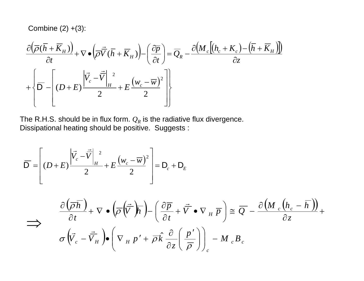Combine  $(2) + (3)$ :

$$
\frac{\partial \left(\overline{\rho}(\overline{h} + \overline{K}_{H})\right)}{\partial t} + \nabla \bullet \left(\overline{\rho} \overline{\overline{V}}(\overline{h} + \overline{K}_{H})\right) - \left(\frac{\partial \overline{p}}{\partial t}\right) = \overline{Q}_{R} - \frac{\partial \left(M_{c}\left[(h_{c} + K_{c}) - (\overline{h} + \overline{K}_{H})\right]\right)}{\partial z}
$$
\n
$$
+ \left\{\overline{D} - \left[(D + E)\frac{\left|\overline{V}_{c} - \overline{V}\right|_{H}^{2}}{2} + E\frac{\left(w_{c} - \overline{w}\right)^{2}}{2}\right]\right\}
$$

The R.H.S. should be in flux form.  $Q_R$  is the radiative flux divergence. Dissipational heating should be positive. Suggests :

$$
\overline{D} = \left[ (D+E) \frac{\left| \overline{V_c} - \overline{V} \right|_H^2}{2} + E \frac{(w_c - \overline{w})^2}{2} \right] = D_c + D_E
$$
\n
$$
\Rightarrow \frac{\partial (\overline{\rho} \overline{h})}{\partial t} + \nabla \cdot (\overline{\rho} \left( \overline{\overline{V}} \right) \overline{h}) - \left( \frac{\partial \overline{p}}{\partial t} + \overline{V} \cdot \nabla_H \overline{p} \right) \cong \overline{Q} - \frac{\partial (M_c (h_c - \overline{h}))}{\partial z} + \sigma \left( \overline{V_c} - \overline{V_H} \right) \cdot \left( \nabla_H p' + \overline{\rho} \hat{k} \frac{\partial}{\partial z} \left( \frac{p'}{\overline{\rho}} \right) \right)_c - M_c B_c
$$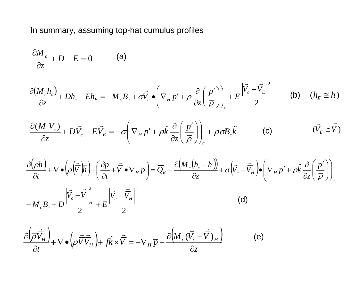In summary, assuming top-hat cumulus profiles

$$
\frac{\partial M_c}{\partial z} + D - E = 0 \tag{a}
$$

$$
\frac{\partial (M_c h_c)}{\partial z} + Dh_c - Eh_E = -M_c B_c + \sigma \vec{V}_c \bullet \left(\nabla_H p' + \overline{\rho} \frac{\partial}{\partial z} \left(\frac{p'}{\overline{\rho}}\right)\right)_c + E \frac{\left|\vec{V}_c - \vec{V}_E\right|^2}{2} \qquad \text{(b)} \quad (h_E \cong \overline{h})
$$

$$
\frac{\partial (M_c \vec{V}_c)}{\partial z} + D \vec{V}_c - E \vec{V}_E = -\sigma \left( \nabla_H p' + \overline{\rho} \hat{k} \frac{\partial}{\partial z} \left( \frac{p'}{\overline{\rho}} \right) \right)_c + \overline{\rho} \sigma B_c \hat{k}
$$
 (c)  $(\vec{V}_E \cong \overline{\vec{V}})$ 

$$
\frac{\partial(\overline{\rho}\overline{h})}{\partial t} + \nabla \bullet \left(\overline{\rho}\left(\overline{\overline{V}}\right)\overline{h}\right) - \left(\frac{\partial \overline{p}}{\partial t} + \overline{\overline{V}} \bullet \nabla_H \overline{p}\right) = \overline{Q}_R - \frac{\partial \left(M_c\left(h_c - \overline{h}\right)\right)}{\partial z} + \sigma \left(\overline{V}_c - \overline{V}_H\right) \bullet \left(\nabla_H p' + \overline{\rho}\hat{k}\frac{\partial}{\partial z}\left(\frac{p'}{\overline{\rho}}\right)\right)_{c} |\overline{V}_s - \overline{V}|^2 \qquad |\overline{V}_s - \overline{V}_t|^2
$$

$$
-M_c B_c + D \frac{|C_c - C|_H}{2} + E \frac{|C_c - C|_H}{2}
$$
 (d)

$$
\frac{\partial \left(\overrightarrow{\rho}\overrightarrow{\overrightarrow{V}}_H\right)}{\partial t} + \nabla \bullet \left(\overrightarrow{\rho}\overrightarrow{\overrightarrow{V}}_H\right) + f\hat{k} \times \overrightarrow{\overrightarrow{V}} = -\nabla_H \overrightarrow{p} - \frac{\partial \left(M_c\left(\overrightarrow{V_c} - \overrightarrow{\overrightarrow{V}}\right)_H\right)}{\partial z}
$$
(e)